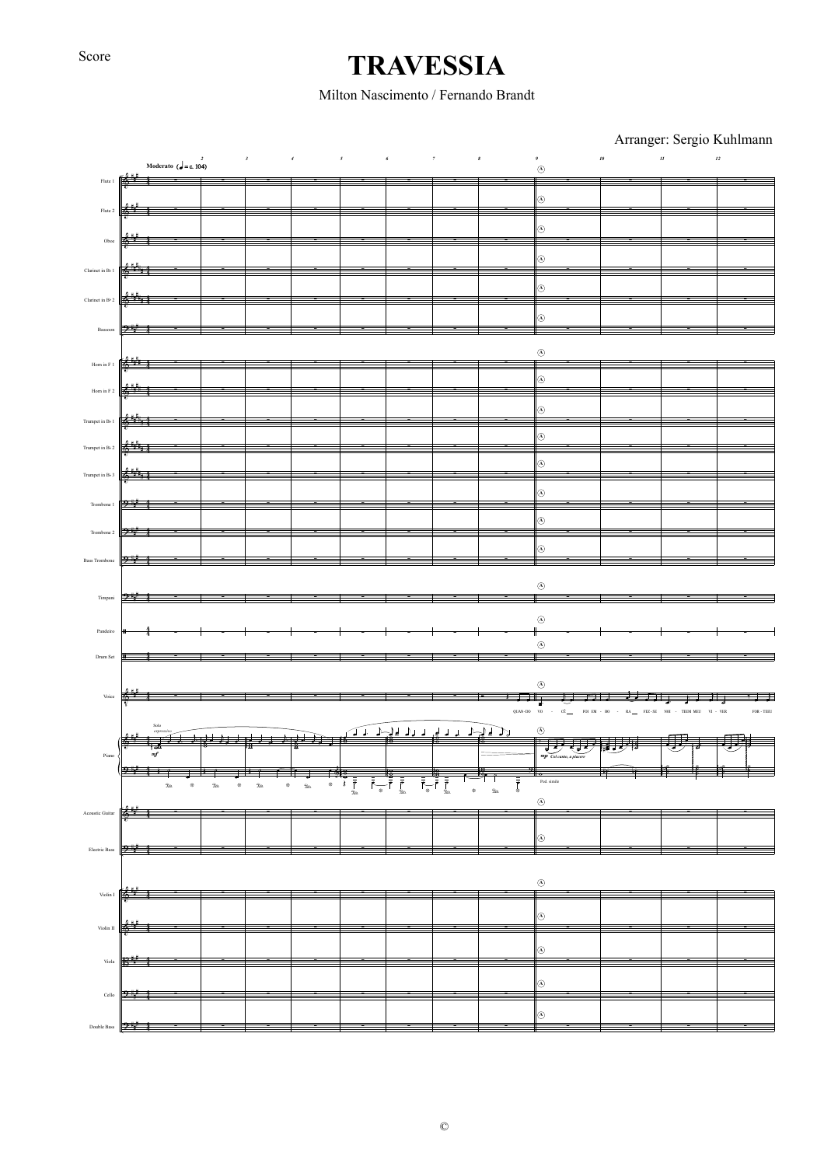Score

# **TRAVESSIA**

Milton Nascimento / Fernando Brandt

|                               |       |                                                         |                |                             |           |   |           |                 |                             |                                                 |              |                        | Arranger: Sergio Kuhlmann                                  |
|-------------------------------|-------|---------------------------------------------------------|----------------|-----------------------------|-----------|---|-----------|-----------------|-----------------------------|-------------------------------------------------|--------------|------------------------|------------------------------------------------------------|
|                               | ⊯     | Moderato $\begin{pmatrix} 2 \\ -c \\ 104 \end{pmatrix}$ |                | $\boldsymbol{\mathfrak{z}}$ |           |   |           |                 |                             | $\boldsymbol{9}$<br>$\odot$                     | 10           | $\boldsymbol{H}$       | $\boldsymbol{12}$                                          |
| Flute 1                       |       |                                                         |                |                             |           |   |           |                 |                             | $\odot$                                         |              |                        |                                                            |
| Flute 2                       |       |                                                         |                |                             |           |   |           |                 |                             | $\circledcirc$                                  |              |                        |                                                            |
| Oboe                          |       |                                                         |                |                             |           |   |           |                 |                             | ⊚                                               |              |                        |                                                            |
| Clarinet in $\rm{B}\flat$ 1   | lté.  |                                                         |                |                             |           |   |           |                 |                             |                                                 |              |                        |                                                            |
| Clarinet in $\rm{B}\flat\,2$  | 旸     |                                                         |                |                             |           |   |           |                 |                             | ⊚                                               |              |                        |                                                            |
| Bassoon                       | -75   |                                                         |                |                             |           |   |           |                 |                             | $\circledcirc$                                  |              |                        |                                                            |
| Horn in ${\rm F}$ 1           | 医三    |                                                         |                |                             |           |   |           |                 |                             | $\circledS$                                     |              |                        |                                                            |
| Horn in F $2\,$               | 腇     |                                                         |                |                             |           |   |           |                 |                             | $_{\odot}$                                      |              |                        |                                                            |
| Trumpet in $B$ <sup>3</sup> 1 |       |                                                         |                |                             |           |   |           |                 |                             | $  \odot$                                       |              |                        |                                                            |
| Trumpet in $\rm{B}\flat$ 2    |       |                                                         |                |                             |           |   |           |                 |                             | $^{\circ}$                                      |              |                        |                                                            |
| Trumpet in $\rm{B}\flat$ 3    | 孟     |                                                         |                |                             |           |   |           |                 |                             | $\circledcirc$                                  |              |                        |                                                            |
| Trombone 1                    | ьe    |                                                         |                |                             |           |   |           |                 |                             | $\circledcirc$                                  |              |                        |                                                            |
|                               | 同科    |                                                         |                |                             |           |   |           |                 |                             | ⊚                                               |              |                        |                                                            |
| Trombone 2                    |       |                                                         |                |                             |           |   |           |                 |                             | $\circ$                                         |              |                        |                                                            |
| <b>Bass Trombone</b>          | ≘≔    |                                                         |                |                             |           |   |           |                 |                             | $\odot$                                         |              |                        |                                                            |
| Timpani                       | -9:41 |                                                         |                |                             |           |   |           |                 |                             |                                                 |              |                        |                                                            |
| Pandeiro                      |       |                                                         |                |                             |           |   |           |                 |                             | $\odot$                                         |              |                        |                                                            |
| Drum Set                      | ∓     |                                                         |                |                             |           |   |           |                 |                             | $^{\circ}$                                      |              |                        |                                                            |
|                               |       |                                                         |                |                             |           |   |           |                 |                             | $\odot$                                         |              |                        |                                                            |
| $\mbox{Voice}$                | 靥     |                                                         |                |                             |           |   |           |                 | $\textnormal{QUAN-DO}$ . VO | CÊ.<br>FOI                                      | RA<br>FEZ-SE | NOI<br><b>TEEM MEU</b> | 一下<br>$\rm{VI}$ . $\rm{VER}$<br>${\tt FOR}$ - ${\tt TEEU}$ |
|                               |       |                                                         |                |                             |           |   | નીની માંગ | <u>ti li li</u> |                             | ⊚                                               |              |                        |                                                            |
| $\rm{Piano}$                  | ラゼ 1: | $\it mf$                                                |                | $\Box$ $\Box$ $\Box$ $\Box$ |           |   |           |                 | =                           | $\sum_{\text{mp } \text{Col canto, a placeer}}$ | <u></u><br>伞 |                        |                                                            |
|                               |       | $2\alpha$<br>ø                                          | $2\alpha$<br>÷ | $\oplus$<br>$2\alpha$       | $2\alpha$ |   |           |                 | $\bar{\bar{}}$              | Ped. simile<br>$\odot$                          |              |                        |                                                            |
| Acoustic Guitar               | 诸     |                                                         |                |                             |           |   |           |                 |                             |                                                 |              |                        |                                                            |
| Electric Bass                 | ヲギ    |                                                         |                |                             |           |   |           |                 |                             | O                                               |              |                        |                                                            |
|                               |       |                                                         |                |                             |           |   |           |                 |                             | $\odot$                                         |              |                        |                                                            |
| Violin 1                      |       |                                                         |                |                             |           |   |           |                 |                             |                                                 |              |                        |                                                            |
| Violin II                     |       |                                                         |                |                             |           |   |           |                 |                             | $\circledcirc$                                  |              |                        |                                                            |
| $_{\rm Viola}$                | B¥    |                                                         |                |                             |           |   |           |                 |                             | $\circledcirc$                                  |              |                        |                                                            |
| $_{\rm Cello}$                |       | ÷                                                       | ł              | H                           | H         | ÷ |           |                 |                             | $\circ$                                         | ł            |                        |                                                            |
|                               |       |                                                         |                |                             |           |   |           |                 |                             | $\circledcirc$                                  |              |                        |                                                            |
| Double Bass <b>PE</b>         |       |                                                         |                |                             |           |   |           |                 |                             |                                                 |              |                        |                                                            |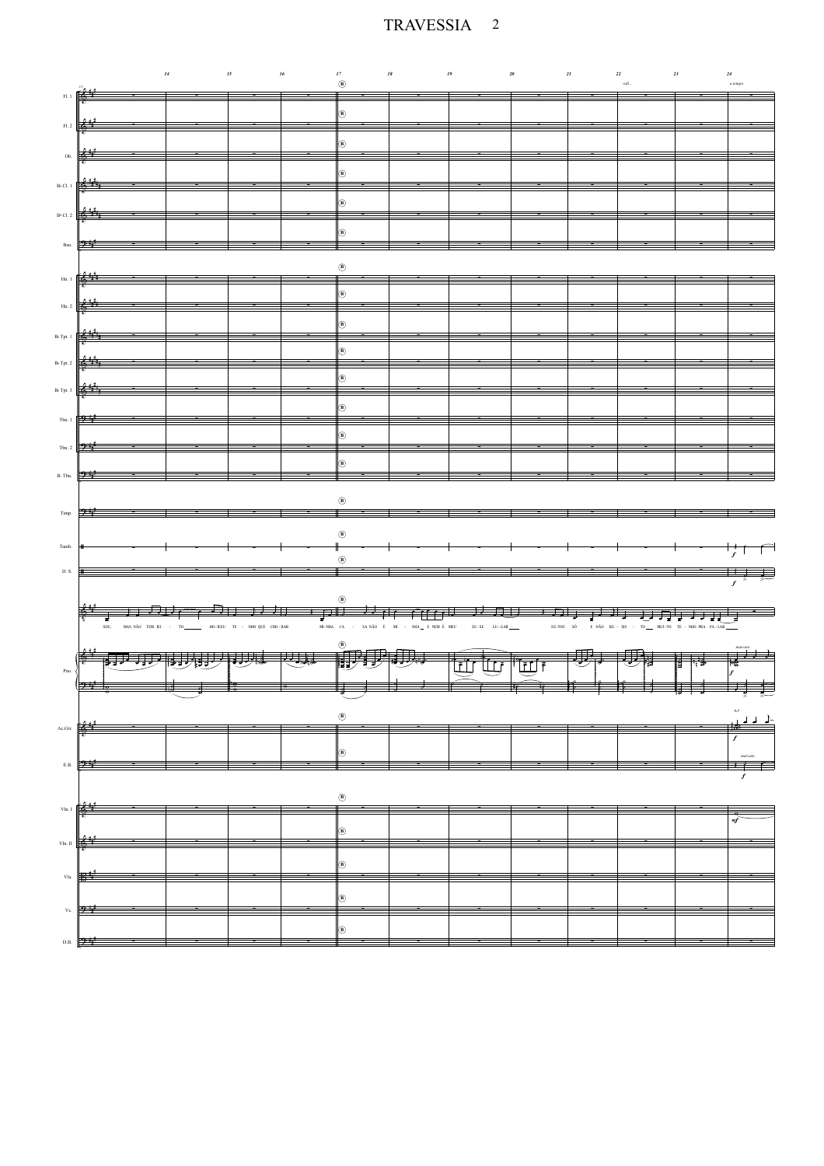|                                                                             |                         | $\it 14$        |     | 15                                                                                                                         | ${\it 16}$                | $17\,$                        |                                                                                                                                                                                           |                     |                          | $21$           | $\bf{22}$                                          | $2\sqrt{3}$ | $2\sqrt{4}$                                                                                                                                                                                                                                                                                                                                         |
|-----------------------------------------------------------------------------|-------------------------|-----------------|-----|----------------------------------------------------------------------------------------------------------------------------|---------------------------|-------------------------------|-------------------------------------------------------------------------------------------------------------------------------------------------------------------------------------------|---------------------|--------------------------|----------------|----------------------------------------------------|-------------|-----------------------------------------------------------------------------------------------------------------------------------------------------------------------------------------------------------------------------------------------------------------------------------------------------------------------------------------------------|
| $\rm{Fl.}$ $1$                                                              |                         |                 |     |                                                                                                                            |                           | $\textcircled{\scriptsize 8}$ |                                                                                                                                                                                           |                     |                          |                |                                                    |             | a tem                                                                                                                                                                                                                                                                                                                                               |
|                                                                             |                         |                 |     |                                                                                                                            |                           |                               |                                                                                                                                                                                           |                     |                          |                |                                                    |             |                                                                                                                                                                                                                                                                                                                                                     |
| $\rm{Fl.}$ 2                                                                |                         |                 |     |                                                                                                                            |                           | $^{\circledR}$                |                                                                                                                                                                                           |                     |                          |                |                                                    |             |                                                                                                                                                                                                                                                                                                                                                     |
|                                                                             |                         |                 |     |                                                                                                                            |                           |                               |                                                                                                                                                                                           |                     |                          |                |                                                    |             |                                                                                                                                                                                                                                                                                                                                                     |
| $_{\rm Ob.}$                                                                |                         |                 |     |                                                                                                                            |                           | ®                             |                                                                                                                                                                                           |                     |                          |                |                                                    |             |                                                                                                                                                                                                                                                                                                                                                     |
|                                                                             |                         |                 |     |                                                                                                                            |                           |                               |                                                                                                                                                                                           |                     |                          |                |                                                    |             |                                                                                                                                                                                                                                                                                                                                                     |
| $\rm{B}\!\triangleright\!\rm{Cl}.$ 1                                        | €                       |                 |     |                                                                                                                            |                           | O                             |                                                                                                                                                                                           |                     |                          |                |                                                    |             |                                                                                                                                                                                                                                                                                                                                                     |
|                                                                             |                         |                 |     |                                                                                                                            |                           | ®                             |                                                                                                                                                                                           |                     |                          |                |                                                    |             |                                                                                                                                                                                                                                                                                                                                                     |
|                                                                             | $B \triangleright C1.2$ |                 |     |                                                                                                                            |                           |                               |                                                                                                                                                                                           |                     |                          |                |                                                    |             |                                                                                                                                                                                                                                                                                                                                                     |
|                                                                             |                         |                 |     |                                                                                                                            |                           | ®                             |                                                                                                                                                                                           |                     |                          |                |                                                    |             |                                                                                                                                                                                                                                                                                                                                                     |
| $_{\rm Bsn.}$                                                               | 94                      |                 |     |                                                                                                                            |                           |                               |                                                                                                                                                                                           |                     |                          |                |                                                    |             |                                                                                                                                                                                                                                                                                                                                                     |
|                                                                             |                         |                 |     |                                                                                                                            |                           |                               |                                                                                                                                                                                           |                     |                          |                |                                                    |             |                                                                                                                                                                                                                                                                                                                                                     |
| $\rm Hn.$ 1                                                                 |                         |                 |     |                                                                                                                            |                           | $\textcircled{\scriptsize 8}$ |                                                                                                                                                                                           |                     |                          |                |                                                    |             |                                                                                                                                                                                                                                                                                                                                                     |
|                                                                             |                         |                 |     |                                                                                                                            |                           | $^{\circledR}$                |                                                                                                                                                                                           |                     |                          |                |                                                    |             |                                                                                                                                                                                                                                                                                                                                                     |
| Hn. $2\,$                                                                   |                         |                 |     |                                                                                                                            |                           |                               |                                                                                                                                                                                           |                     |                          |                |                                                    |             |                                                                                                                                                                                                                                                                                                                                                     |
|                                                                             |                         |                 |     |                                                                                                                            |                           | ®                             |                                                                                                                                                                                           |                     |                          |                |                                                    |             |                                                                                                                                                                                                                                                                                                                                                     |
| B) Tpt. $1$                                                                 |                         |                 |     |                                                                                                                            |                           |                               |                                                                                                                                                                                           |                     |                          |                |                                                    |             |                                                                                                                                                                                                                                                                                                                                                     |
|                                                                             |                         |                 |     |                                                                                                                            |                           | ®                             |                                                                                                                                                                                           |                     |                          |                |                                                    |             |                                                                                                                                                                                                                                                                                                                                                     |
| B>Tpt. 2                                                                    |                         |                 |     |                                                                                                                            |                           |                               |                                                                                                                                                                                           |                     |                          |                |                                                    |             |                                                                                                                                                                                                                                                                                                                                                     |
|                                                                             |                         |                 |     |                                                                                                                            |                           | ℗                             |                                                                                                                                                                                           |                     |                          |                |                                                    |             |                                                                                                                                                                                                                                                                                                                                                     |
| B>Tpt. 3                                                                    |                         |                 |     |                                                                                                                            |                           |                               |                                                                                                                                                                                           |                     |                          |                |                                                    |             |                                                                                                                                                                                                                                                                                                                                                     |
| Tbn. 1                                                                      |                         |                 |     |                                                                                                                            |                           | ®                             |                                                                                                                                                                                           |                     |                          |                |                                                    |             |                                                                                                                                                                                                                                                                                                                                                     |
|                                                                             |                         |                 |     |                                                                                                                            |                           | ®                             |                                                                                                                                                                                           |                     |                          |                |                                                    |             |                                                                                                                                                                                                                                                                                                                                                     |
| Tbn. 2                                                                      |                         |                 |     |                                                                                                                            |                           |                               |                                                                                                                                                                                           |                     |                          |                |                                                    |             |                                                                                                                                                                                                                                                                                                                                                     |
|                                                                             |                         |                 |     |                                                                                                                            |                           | $^{\circledR}$                |                                                                                                                                                                                           |                     |                          |                |                                                    |             |                                                                                                                                                                                                                                                                                                                                                     |
| $\, {\bf B}.$ Tbn.                                                          | ≃≠                      |                 |     |                                                                                                                            |                           |                               |                                                                                                                                                                                           |                     |                          |                |                                                    |             |                                                                                                                                                                                                                                                                                                                                                     |
|                                                                             |                         |                 |     |                                                                                                                            |                           |                               |                                                                                                                                                                                           |                     |                          |                |                                                    |             |                                                                                                                                                                                                                                                                                                                                                     |
| Timp.                                                                       |                         |                 |     |                                                                                                                            |                           | $^\circledR$                  |                                                                                                                                                                                           |                     |                          |                |                                                    |             |                                                                                                                                                                                                                                                                                                                                                     |
|                                                                             |                         |                 |     |                                                                                                                            |                           |                               |                                                                                                                                                                                           |                     |                          |                |                                                    |             |                                                                                                                                                                                                                                                                                                                                                     |
|                                                                             |                         |                 |     |                                                                                                                            |                           | $\circledR$                   |                                                                                                                                                                                           |                     |                          |                |                                                    |             |                                                                                                                                                                                                                                                                                                                                                     |
| Tamb                                                                        |                         |                 |     |                                                                                                                            |                           | $^\circledR$                  |                                                                                                                                                                                           |                     |                          |                |                                                    |             |                                                                                                                                                                                                                                                                                                                                                     |
| D. S.                                                                       |                         |                 |     |                                                                                                                            |                           |                               |                                                                                                                                                                                           |                     |                          |                |                                                    |             |                                                                                                                                                                                                                                                                                                                                                     |
|                                                                             |                         |                 |     |                                                                                                                            |                           |                               |                                                                                                                                                                                           |                     |                          |                |                                                    |             | $\boldsymbol{f}$                                                                                                                                                                                                                                                                                                                                    |
|                                                                             |                         |                 |     |                                                                                                                            |                           | $^\circledR$                  |                                                                                                                                                                                           |                     |                          |                |                                                    |             |                                                                                                                                                                                                                                                                                                                                                     |
|                                                                             |                         |                 |     |                                                                                                                            |                           |                               |                                                                                                                                                                                           |                     |                          |                |                                                    |             |                                                                                                                                                                                                                                                                                                                                                     |
|                                                                             | SOU,                    | MAS NÃO TEM JEI | TO. | $\text{HO-JEEU} \qquad \text{TE} \quad \text{--} \quad \text{NHO} \ \ \text{QUE} \quad \text{CHO} \ \text{-} \ \text{RAR}$ | $\text{MI-NHA}=\text{CA}$ | $\sim$                        | $\begin{array}{ccccccccccl} \text{SA N\AA{O}} & \hat{\text{E}} & \text{MI} & \text{.} & \text{NHA}\xspace_{\text{max}} & \text{E} & \text{NEM} & \hat{\text{E}} & \text{MEU} \end{array}$ | ES-SE<br>$LU - GAR$ | ES-TOU                   | $\rm s\bar{o}$ | E NÃO RE - SIS - TO___ MUI-TO TE - NHO PRA FA-LAR. |             |                                                                                                                                                                                                                                                                                                                                                     |
|                                                                             |                         |                 |     |                                                                                                                            |                           | $^\circledR$                  |                                                                                                                                                                                           |                     |                          |                |                                                    |             |                                                                                                                                                                                                                                                                                                                                                     |
|                                                                             |                         |                 |     |                                                                                                                            |                           |                               |                                                                                                                                                                                           |                     |                          |                |                                                    |             | $\rightarrow$ $\rightarrow$<br>न्हि                                                                                                                                                                                                                                                                                                                 |
| Pno                                                                         |                         |                 |     |                                                                                                                            |                           |                               |                                                                                                                                                                                           |                     |                          |                |                                                    |             |                                                                                                                                                                                                                                                                                                                                                     |
|                                                                             |                         |                 |     |                                                                                                                            |                           |                               |                                                                                                                                                                                           | Ŧ                   | $ \cdot $ $\overline{ }$ |                |                                                    |             |                                                                                                                                                                                                                                                                                                                                                     |
|                                                                             | $-1.5$                  |                 |     |                                                                                                                            |                           |                               |                                                                                                                                                                                           |                     |                          |                |                                                    | ₩<br>ाउ     | ₹<br>ड़े                                                                                                                                                                                                                                                                                                                                            |
|                                                                             |                         |                 |     |                                                                                                                            |                           |                               |                                                                                                                                                                                           |                     |                          |                |                                                    |             |                                                                                                                                                                                                                                                                                                                                                     |
|                                                                             |                         |                 |     |                                                                                                                            |                           | $^\circledR$                  |                                                                                                                                                                                           |                     |                          |                |                                                    |             | $\begin{picture}(180,10) \put(0,0){\line(1,0){10}} \put(10,0){\line(1,0){10}} \put(10,0){\line(1,0){10}} \put(10,0){\line(1,0){10}} \put(10,0){\line(1,0){10}} \put(10,0){\line(1,0){10}} \put(10,0){\line(1,0){10}} \put(10,0){\line(1,0){10}} \put(10,0){\line(1,0){10}} \put(10,0){\line(1,0){10}} \put(10,0){\line(1,0){10}} \put(10,0){\line($ |
| $\operatorname{\mathsf{Ac}}\nolimits\!\operatorname{\mathsf{Gtr}}\nolimits$ |                         |                 |     |                                                                                                                            |                           |                               |                                                                                                                                                                                           |                     |                          |                |                                                    |             | $\boldsymbol{f}$                                                                                                                                                                                                                                                                                                                                    |
|                                                                             |                         |                 |     |                                                                                                                            |                           | $\circ$                       |                                                                                                                                                                                           |                     |                          |                |                                                    |             | marcate                                                                                                                                                                                                                                                                                                                                             |
|                                                                             | E.B. $\Box$             |                 |     |                                                                                                                            |                           |                               |                                                                                                                                                                                           |                     |                          |                |                                                    |             |                                                                                                                                                                                                                                                                                                                                                     |
|                                                                             |                         |                 |     |                                                                                                                            |                           |                               |                                                                                                                                                                                           |                     |                          |                |                                                    |             | $\mathbb{H}_{f}$                                                                                                                                                                                                                                                                                                                                    |
|                                                                             |                         |                 |     |                                                                                                                            |                           | $^\circledR$                  |                                                                                                                                                                                           |                     |                          |                |                                                    |             |                                                                                                                                                                                                                                                                                                                                                     |
| $V\!$ In. I                                                                 |                         |                 |     |                                                                                                                            |                           |                               |                                                                                                                                                                                           |                     |                          |                |                                                    |             | $\it mf$                                                                                                                                                                                                                                                                                                                                            |
|                                                                             |                         |                 |     |                                                                                                                            |                           | ®                             |                                                                                                                                                                                           |                     |                          |                |                                                    |             |                                                                                                                                                                                                                                                                                                                                                     |
| Vln. $\Pi$                                                                  | 嘺                       |                 |     |                                                                                                                            |                           |                               |                                                                                                                                                                                           |                     |                          |                |                                                    |             |                                                                                                                                                                                                                                                                                                                                                     |
|                                                                             |                         |                 |     |                                                                                                                            |                           | O                             |                                                                                                                                                                                           |                     |                          |                |                                                    |             |                                                                                                                                                                                                                                                                                                                                                     |
| $_{\rm Vla.}$                                                               | 曙                       |                 |     |                                                                                                                            |                           |                               |                                                                                                                                                                                           |                     |                          |                |                                                    |             |                                                                                                                                                                                                                                                                                                                                                     |
|                                                                             |                         |                 |     |                                                                                                                            |                           | O                             |                                                                                                                                                                                           |                     |                          |                |                                                    |             |                                                                                                                                                                                                                                                                                                                                                     |
| $\rm{Vc.}$                                                                  | יצ                      |                 |     |                                                                                                                            |                           |                               |                                                                                                                                                                                           |                     |                          |                |                                                    |             |                                                                                                                                                                                                                                                                                                                                                     |
|                                                                             | り早                      |                 |     |                                                                                                                            |                           | $\circ$                       |                                                                                                                                                                                           |                     |                          |                |                                                    |             |                                                                                                                                                                                                                                                                                                                                                     |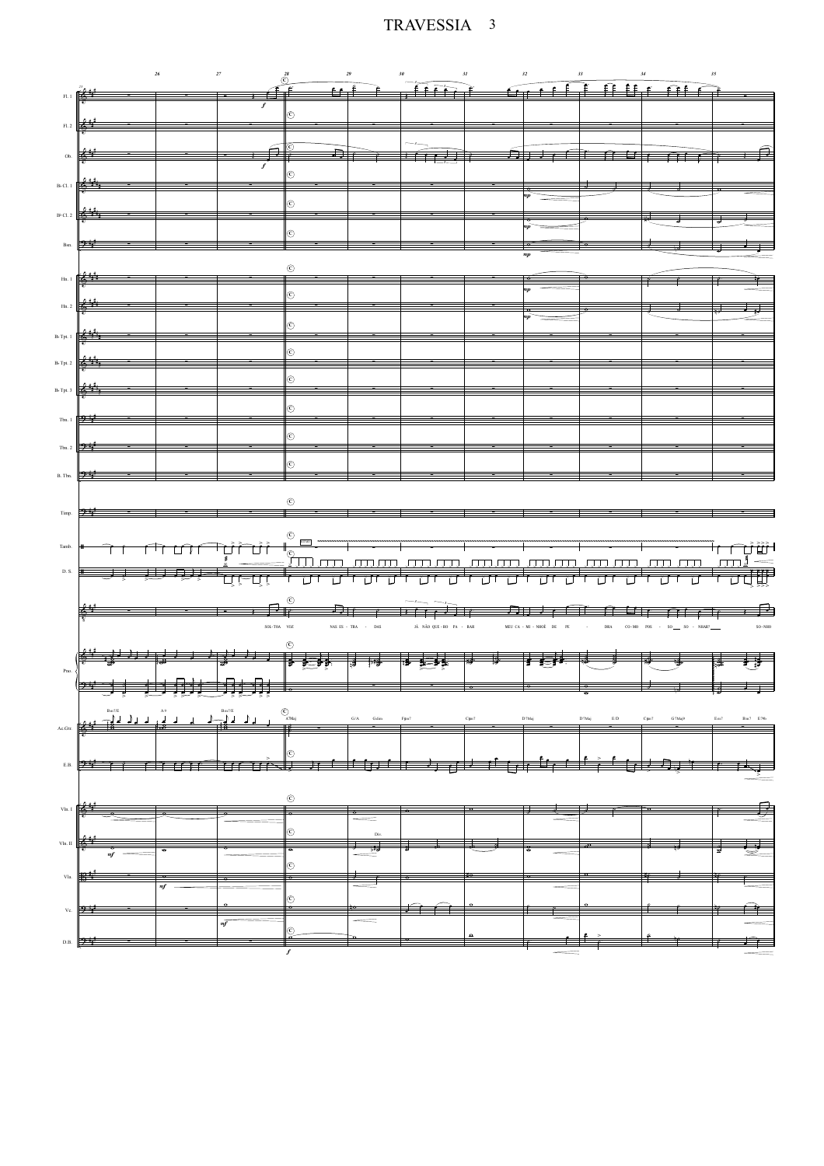|                                            |                          | $26\,$                   |                                                                    |                                                                                        | 29                                       |                            | $\sqrt{3}I$                   | 32                                                      | $33\,$                           | $3\,$                                            | 35                                           |
|--------------------------------------------|--------------------------|--------------------------|--------------------------------------------------------------------|----------------------------------------------------------------------------------------|------------------------------------------|----------------------------|-------------------------------|---------------------------------------------------------|----------------------------------|--------------------------------------------------|----------------------------------------------|
| $\rm{Fl.}$ $1$                             |                          |                          |                                                                    |                                                                                        |                                          |                            |                               |                                                         | £≩<br>丰自                         | f f f                                            |                                              |
|                                            |                          |                          | f                                                                  | ©                                                                                      |                                          |                            |                               |                                                         |                                  |                                                  |                                              |
| $\rm{Fl.}$ 2                               |                          |                          |                                                                    |                                                                                        |                                          |                            |                               |                                                         |                                  |                                                  |                                              |
|                                            |                          |                          |                                                                    | (C                                                                                     |                                          |                            |                               |                                                         |                                  |                                                  |                                              |
| Ob.                                        |                          |                          |                                                                    |                                                                                        |                                          |                            |                               |                                                         |                                  |                                                  |                                              |
|                                            |                          |                          |                                                                    | $  \odot  $                                                                            |                                          |                            |                               |                                                         |                                  |                                                  |                                              |
| $\rm{B}\!\triangleright\!\rm{C}\!\rm{L}$ 1 |                          |                          |                                                                    |                                                                                        |                                          |                            |                               |                                                         |                                  |                                                  |                                              |
|                                            |                          |                          |                                                                    | O                                                                                      |                                          |                            |                               |                                                         |                                  |                                                  |                                              |
| $B \triangleright C1.2$                    |                          |                          |                                                                    |                                                                                        |                                          |                            |                               |                                                         |                                  |                                                  |                                              |
| Bsn.                                       |                          |                          |                                                                    | O                                                                                      |                                          |                            |                               |                                                         |                                  |                                                  |                                              |
|                                            |                          |                          |                                                                    |                                                                                        |                                          |                            |                               |                                                         |                                  |                                                  |                                              |
|                                            |                          |                          |                                                                    | $_{\odot}$                                                                             |                                          |                            |                               |                                                         |                                  |                                                  |                                              |
| Hn.1                                       |                          |                          |                                                                    |                                                                                        |                                          |                            |                               |                                                         |                                  |                                                  |                                              |
| Hn. 2                                      |                          |                          |                                                                    | $ _{\mathbb{O}}$                                                                       |                                          |                            |                               |                                                         |                                  |                                                  |                                              |
|                                            |                          |                          |                                                                    | $  \odot$                                                                              |                                          |                            |                               |                                                         |                                  |                                                  |                                              |
| B>Tpt. 1                                   |                          |                          |                                                                    |                                                                                        |                                          |                            |                               |                                                         |                                  |                                                  |                                              |
|                                            |                          |                          |                                                                    | ©                                                                                      |                                          |                            |                               |                                                         |                                  |                                                  |                                              |
| $B\rightarrow$ Tpt. 2                      |                          |                          |                                                                    |                                                                                        |                                          |                            |                               |                                                         |                                  |                                                  |                                              |
|                                            |                          |                          |                                                                    | $  \odot$                                                                              |                                          |                            |                               |                                                         |                                  |                                                  |                                              |
| B>Tpt. 3                                   |                          |                          |                                                                    |                                                                                        |                                          |                            |                               |                                                         |                                  |                                                  |                                              |
| Tbn. 1                                     |                          |                          |                                                                    | $  \odot$                                                                              |                                          |                            |                               |                                                         |                                  |                                                  |                                              |
|                                            |                          |                          |                                                                    | $\circ$                                                                                |                                          |                            |                               |                                                         |                                  |                                                  |                                              |
| Tbn. 2                                     |                          |                          |                                                                    |                                                                                        |                                          |                            |                               |                                                         |                                  |                                                  |                                              |
|                                            |                          |                          |                                                                    | ⊙                                                                                      |                                          |                            |                               |                                                         |                                  |                                                  |                                              |
| B. Tbn.                                    |                          |                          |                                                                    |                                                                                        |                                          |                            |                               |                                                         |                                  |                                                  |                                              |
|                                            |                          |                          |                                                                    |                                                                                        |                                          |                            |                               |                                                         |                                  |                                                  |                                              |
| Timp.                                      |                          |                          |                                                                    | $_{\odot}$                                                                             |                                          |                            |                               |                                                         |                                  |                                                  |                                              |
|                                            |                          |                          |                                                                    |                                                                                        |                                          |                            |                               |                                                         |                                  |                                                  |                                              |
| Tamb                                       |                          |                          |                                                                    | $_{\odot}$<br>RTMO                                                                     |                                          |                            |                               |                                                         |                                  |                                                  |                                              |
|                                            |                          |                          |                                                                    | $\hat{c}$                                                                              |                                          |                            |                               | JJJJ<br>JJJJ                                            | JJJ.                             | JJJJ                                             | ᇤ<br>$\leq$<br>历页                            |
| $\mathbb{D}.$ S.                           |                          |                          | क्तू<br>य्गु                                                       |                                                                                        |                                          |                            |                               |                                                         |                                  |                                                  | म्                                           |
|                                            |                          |                          |                                                                    |                                                                                        | ا ⊔                                      |                            | ॻ                             | பு<br>⊔                                                 |                                  |                                                  |                                              |
|                                            |                          |                          |                                                                    | ©                                                                                      |                                          |                            |                               |                                                         |                                  |                                                  | ┵                                            |
|                                            |                          |                          | $\text{SOL-TOA}$ $\quad$ VOZ                                       | $\operatorname{NAS}$ $\operatorname{ES}$ - $\operatorname{TRA}$                        | $\sim$ DAS                               | JÁ NÃO QUE - RO PA         | $- RAR$<br>MEU CA             | NHOÈ                                                    |                                  |                                                  | $SO-NHO$                                     |
|                                            |                          |                          |                                                                    |                                                                                        |                                          |                            |                               |                                                         |                                  |                                                  |                                              |
|                                            |                          |                          |                                                                    | $^{\circ}$                                                                             |                                          |                            |                               |                                                         |                                  |                                                  |                                              |
| Pno                                        |                          |                          |                                                                    |                                                                                        | 開                                        | ij.                        |                               | r                                                       |                                  |                                                  |                                              |
|                                            |                          |                          |                                                                    |                                                                                        |                                          |                            |                               |                                                         |                                  |                                                  |                                              |
|                                            | ءِ س                     | $\sim$                   | ,,,,,,,,,,                                                         |                                                                                        |                                          |                            |                               |                                                         |                                  |                                                  |                                              |
|                                            | $\rm B\,m7/E$            |                          | $\begin{array}{c c}\n\text{BmVE} \\ \hline\n\text{H}\n\end{array}$ | $\bigodot_{\stackrel{\scriptstyle\Lambda\mathcal{I}\mathcal{M}aj}{\overline{\Psi^-}}}$ | $\mathbb{G}/\mathbb{A}$<br>${\bf G}$ dim | $F\$ {m} 7                 | $\mathsf{C}\sharp\mathsf{m}7$ | D7Maj                                                   | $\mathrm{E}/\mathrm{D}$<br>D7Maj | $\mathbb{C}\mathfrak{z}\mathfrak{m}$ 7<br>G7Maj9 | $\rm B\,m7-E79b$<br>$\rm{E}\,m7$             |
| $\operatorname{Ac.Gtr.}$                   |                          |                          |                                                                    |                                                                                        |                                          |                            |                               |                                                         |                                  |                                                  |                                              |
|                                            |                          |                          |                                                                    | ©                                                                                      |                                          |                            |                               |                                                         |                                  |                                                  |                                              |
|                                            | E.B. $\mathbf{P}$<br>ੋ−€ | n m                      | hransi,                                                            | ो ।                                                                                    |                                          | di (artik abagi kari tak ⊡ |                               |                                                         | $\overline{\phantom{a}}$         | رز بار:                                          | $\overline{\phantom{a}}$<br><b>T.J.</b><br>₹ |
|                                            |                          |                          |                                                                    |                                                                                        |                                          |                            |                               |                                                         |                                  |                                                  |                                              |
|                                            |                          |                          |                                                                    | $\odot$                                                                                |                                          |                            |                               |                                                         |                                  |                                                  |                                              |
| Vln. I                                     | 藤草                       |                          |                                                                    |                                                                                        | $\circ$                                  | $\overline{\phantom{a}}$   | $\overline{\phantom{a}}$      | $\frac{1}{2}$ $\frac{1}{2}$ $\frac{1}{2}$ $\frac{1}{2}$ |                                  | l⊸                                               | 身                                            |
|                                            |                          |                          |                                                                    | $  \odot  $                                                                            | $\mathop{\rm Div}\nolimits$              |                            |                               |                                                         |                                  |                                                  |                                              |
| Vln. II                                    |                          | $\overline{\phantom{0}}$ |                                                                    | $\overline{\phantom{0}}$                                                               | $\frac{1}{2}$                            |                            | ऊ                             |                                                         |                                  | 폃                                                | ŧ<br>₹                                       |
|                                            |                          |                          |                                                                    | $  \odot$                                                                              |                                          |                            |                               |                                                         |                                  |                                                  |                                              |
| $_{\rm Vla.}$                              | 匿望                       |                          |                                                                    | $\overline{\phantom{0}}$                                                               |                                          | $\overline{\phantom{a}}$   |                               |                                                         |                                  |                                                  |                                              |
|                                            |                          | mf                       |                                                                    |                                                                                        |                                          |                            |                               |                                                         |                                  |                                                  |                                              |
| $\mathrm{Vc.}$                             | ∋≔                       |                          |                                                                    | ⊵                                                                                      |                                          |                            |                               |                                                         |                                  |                                                  |                                              |
|                                            |                          |                          | $\overline{\mathcal{M}}$                                           |                                                                                        | =                                        |                            |                               |                                                         |                                  |                                                  |                                              |
| $\mathbf{D}.\mathbf{B}.$                   | ゆく                       |                          |                                                                    | $  \odot$                                                                              |                                          |                            |                               |                                                         |                                  |                                                  |                                              |
|                                            |                          |                          |                                                                    | $\boldsymbol{f}$                                                                       |                                          |                            |                               |                                                         |                                  |                                                  |                                              |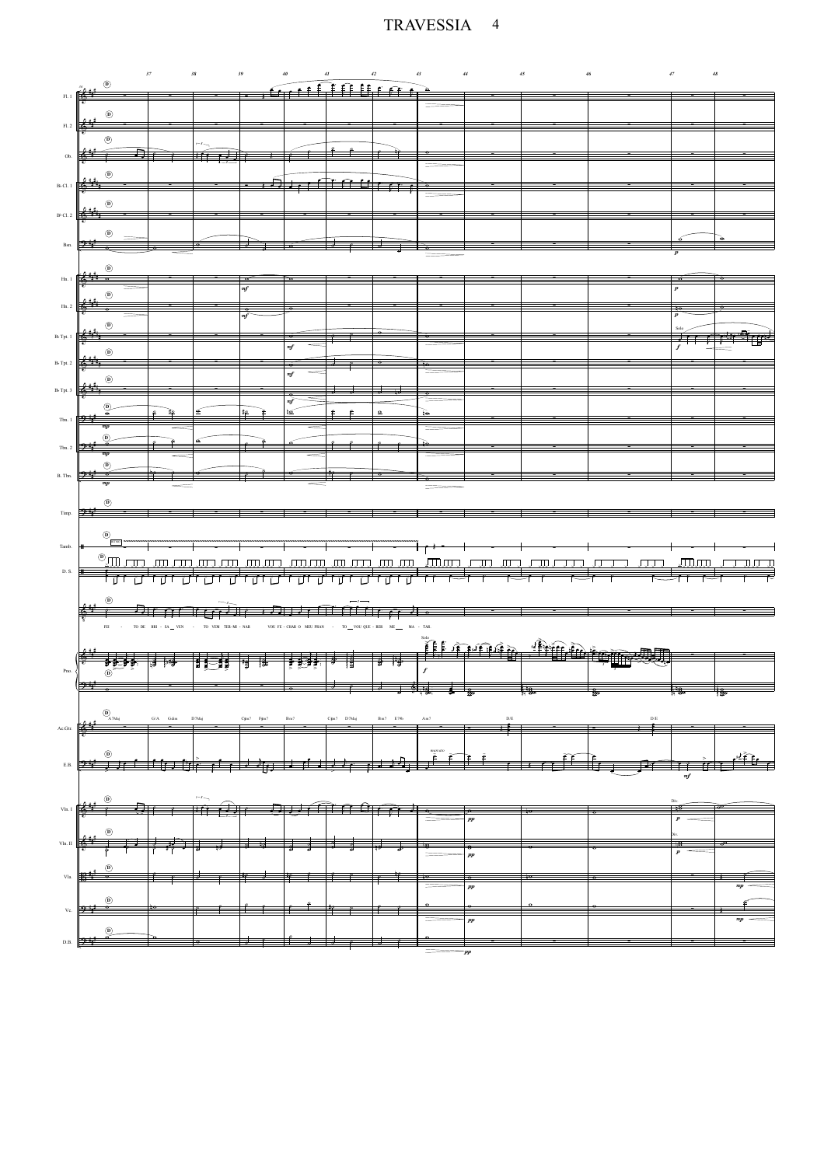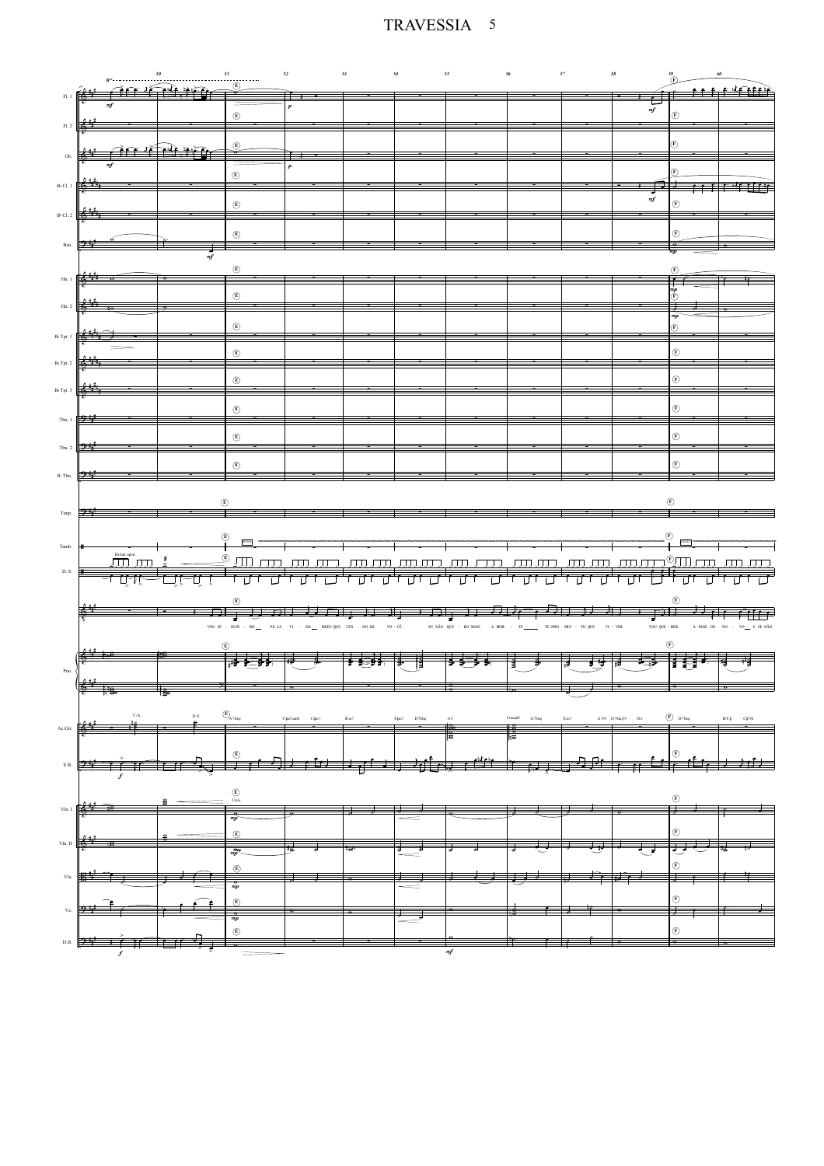| $\frac{\odot}{\bullet}$<br>FL: <del>[卷</del><br>$\copyright$<br>FL2<br>$\frac{E}{\epsilon}$                                                                                                                                                                                                              |                                                                   |
|----------------------------------------------------------------------------------------------------------------------------------------------------------------------------------------------------------------------------------------------------------------------------------------------------------|-------------------------------------------------------------------|
|                                                                                                                                                                                                                                                                                                          | <u>रुष्ट स्कृत</u>                                                |
|                                                                                                                                                                                                                                                                                                          | $\it mf$<br>O                                                     |
|                                                                                                                                                                                                                                                                                                          |                                                                   |
|                                                                                                                                                                                                                                                                                                          | O                                                                 |
| $_{\rm Ob.}$                                                                                                                                                                                                                                                                                             |                                                                   |
| $\copyright$<br>$B \triangleright C1.1$                                                                                                                                                                                                                                                                  | والمتشاركة                                                        |
| $\copyright$                                                                                                                                                                                                                                                                                             | $\frac{1}{m}$<br>$^\circledR$                                     |
| $B \triangleright C1.2$                                                                                                                                                                                                                                                                                  |                                                                   |
| $\copyright$                                                                                                                                                                                                                                                                                             | $^\circledR$                                                      |
| D−1.<br>$_{\rm Bsn.}$<br>mſ                                                                                                                                                                                                                                                                              |                                                                   |
| $\textcircled{\scriptsize{E}}$                                                                                                                                                                                                                                                                           | $^{\circ}$                                                        |
| Hn. 1                                                                                                                                                                                                                                                                                                    |                                                                   |
| $\copyright$<br>Hn. 2                                                                                                                                                                                                                                                                                    | Ē.                                                                |
| $\copyright$                                                                                                                                                                                                                                                                                             | mp<br>$^{\circ}$                                                  |
| $\mathbf{B}$ ) Tpt. 1                                                                                                                                                                                                                                                                                    |                                                                   |
| $\copyright$                                                                                                                                                                                                                                                                                             | $^\copyright$                                                     |
| $\mathbf{B}$ ) Tpt. 2<br>$\copyright$                                                                                                                                                                                                                                                                    | $^\copyright$                                                     |
| B>Tpt. 3                                                                                                                                                                                                                                                                                                 |                                                                   |
| $\textcircled{\scriptsize{E}}$                                                                                                                                                                                                                                                                           | $\odot$                                                           |
| 92<br>Tbn. 1                                                                                                                                                                                                                                                                                             |                                                                   |
| $\copyright$<br>Tbn. 2<br>- 7                                                                                                                                                                                                                                                                            | $^\copyright$                                                     |
| $\copyright$                                                                                                                                                                                                                                                                                             | $\circ$                                                           |
| ∋≭,<br>B. Tbn.                                                                                                                                                                                                                                                                                           |                                                                   |
| $^{\circ}$                                                                                                                                                                                                                                                                                               | $^{\circ}$                                                        |
| P) 5,<br>Timp.                                                                                                                                                                                                                                                                                           |                                                                   |
|                                                                                                                                                                                                                                                                                                          |                                                                   |
|                                                                                                                                                                                                                                                                                                          |                                                                   |
| $rac{E}{+}$<br>$$\tt RTMO$$<br>Tamb                                                                                                                                                                                                                                                                      | $\cdot$ <sub>"</sub>                                              |
| $\prod_{\alpha}$ Hi-hat open<br>$\frac{1}{\sqrt{2}}$<br><u>JJJJ JJJ J</u><br><u>JIJI JIJ J</u><br><u>JUU JUU </u><br>加顶<br>JJJJ<br>JJJJ<br><u>一一一一</u><br>D.S.                                                                                                                                           |                                                                   |
| ਹਾਰਾਬਾਰਾ<br>ਗਰਾਰ ਦ<br>ਹ<br>াকা<br>ॻ<br>ਾ ਹੂਰ<br>ਹਾ                                                                                                                                                                                                                                                       | <u>mm mm mm <sup>m</sup>mm mm</u><br>Trairdrard fordrard          |
| ®                                                                                                                                                                                                                                                                                                        | $^{\circ}$                                                        |
| ≁<br>$\text{VOU SE} \quad \text{--} \quad \text{GUN} \quad \text{--} \quad \text{DO} \underline{\text{--}}$<br>$\text{VO}$ - $\text{C} \hat{\text{E}}$<br>EU NÃO QUE<br>PE-LA VI - DA_ MEES-QUE CEN<br>DO DE<br>$\mathrm{VI}\;$ - $\;\mathrm{VER}$                                                       | <b>VOU QUE - RER</b><br>$\Lambda$ - MAR $\;$ DE                   |
| ®                                                                                                                                                                                                                                                                                                        | $^{\circ}$                                                        |
| 睦夫<br><b>3 3 3 3 3</b><br>诸<br>打写<br>È                                                                                                                                                                                                                                                                   |                                                                   |
|                                                                                                                                                                                                                                                                                                          |                                                                   |
| r.<br>†‼क<br>†#                                                                                                                                                                                                                                                                                          |                                                                   |
| $\bigoplus_{\Lambda\mathbin{{\scriptstyle{\mathrm{7Maj}}}}}$<br>$\mathbb{C}/\Lambda$<br>$\mathrm{D}/\mathrm{E}$<br>C5m7<br>$F\bar{s}m7$<br>D 7Maj<br>$\operatorname{G6add9}$<br>$\rm G\,7Maj$<br>C\$m7add4<br>$\rm B\,m7$<br>$\mathbf{A}\,9$<br>$\rm{E}\, \rm{m} \, \rm{7}$<br>$A75\overline{x}$ D7Maj5# | $\bigoplus$ D7Maj<br>$\mathbf{D6}$<br>$B/C\bar{s}$ $C\bar{s}$ 75b |
| ik -<br>£90<br>I<br>Ac.Gtr.                                                                                                                                                                                                                                                                              |                                                                   |
| ®                                                                                                                                                                                                                                                                                                        |                                                                   |
| $\rightarrow$<br>⊅<br><u>गोरल्य स्तराज्यानु</u><br>اءِ آ<br>$\mathbf{E}.\mathbf{B}.$<br>باللاتا<br>m<br>$\sim$                                                                                                                                                                                           | エィーホーン ゴナー                                                        |
|                                                                                                                                                                                                                                                                                                          |                                                                   |
| $\bigoplus_{\text{Unis.}}$<br>$\mathbf{V}\mathbf{ln}.$ I                                                                                                                                                                                                                                                 | $^\copyright$<br>⊟                                                |
| $\frac{1}{mp}$                                                                                                                                                                                                                                                                                           |                                                                   |
| $\odot$<br>Vln. $\Pi$                                                                                                                                                                                                                                                                                    | $^\copyright$                                                     |
| ಕ<br>16<br>$\frac{\Theta}{mp}$                                                                                                                                                                                                                                                                           | <del>≢₹</del>                                                     |
| $^{\circ}$<br>$_{\rm Vla.}$<br>∓<br>$\overline{\phantom{a}}$                                                                                                                                                                                                                                             | ®<br>∓<br>₹                                                       |
| $\frac{\sigma}{mp}$<br>=                                                                                                                                                                                                                                                                                 |                                                                   |
| $^{\circ}$<br>$\mathrm{Vc.}$                                                                                                                                                                                                                                                                             | $^\circledR$                                                      |
| $\frac{2}{mp}$<br>$^\circledR$<br>D.B. $\boxed{24}$                                                                                                                                                                                                                                                      | $^\copyright$                                                     |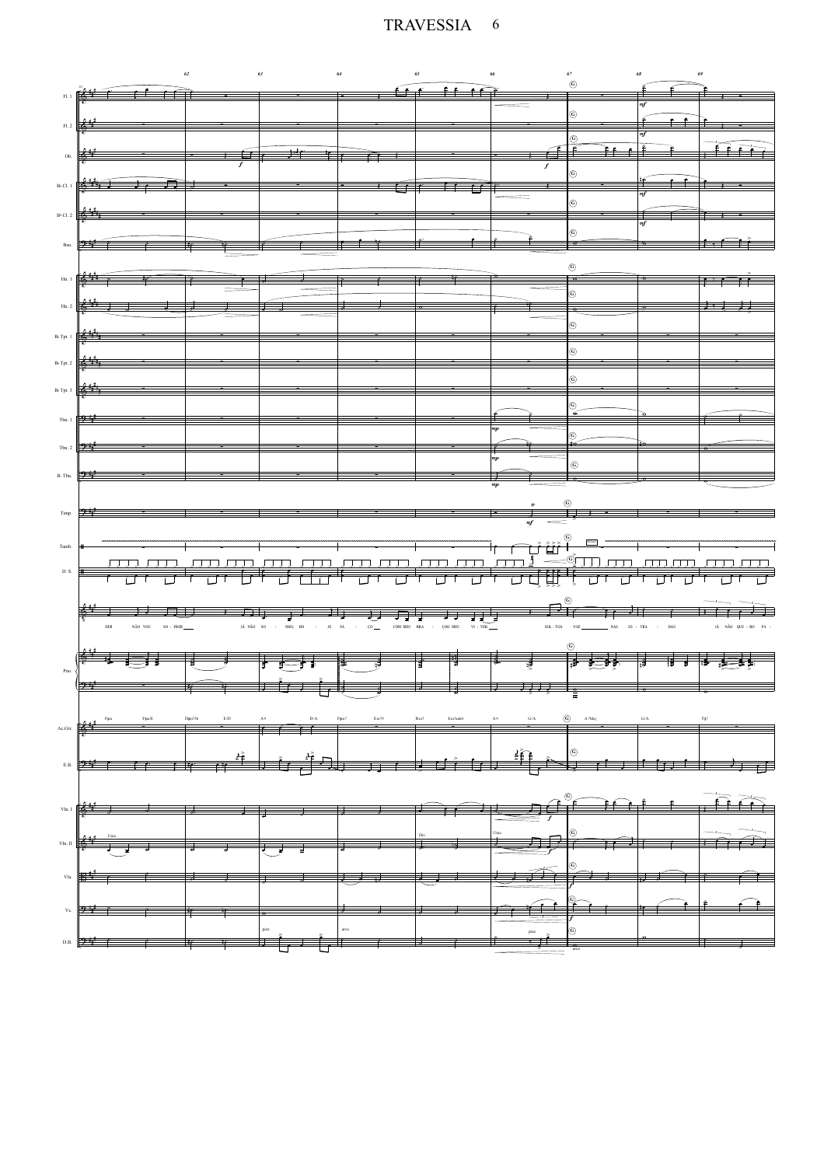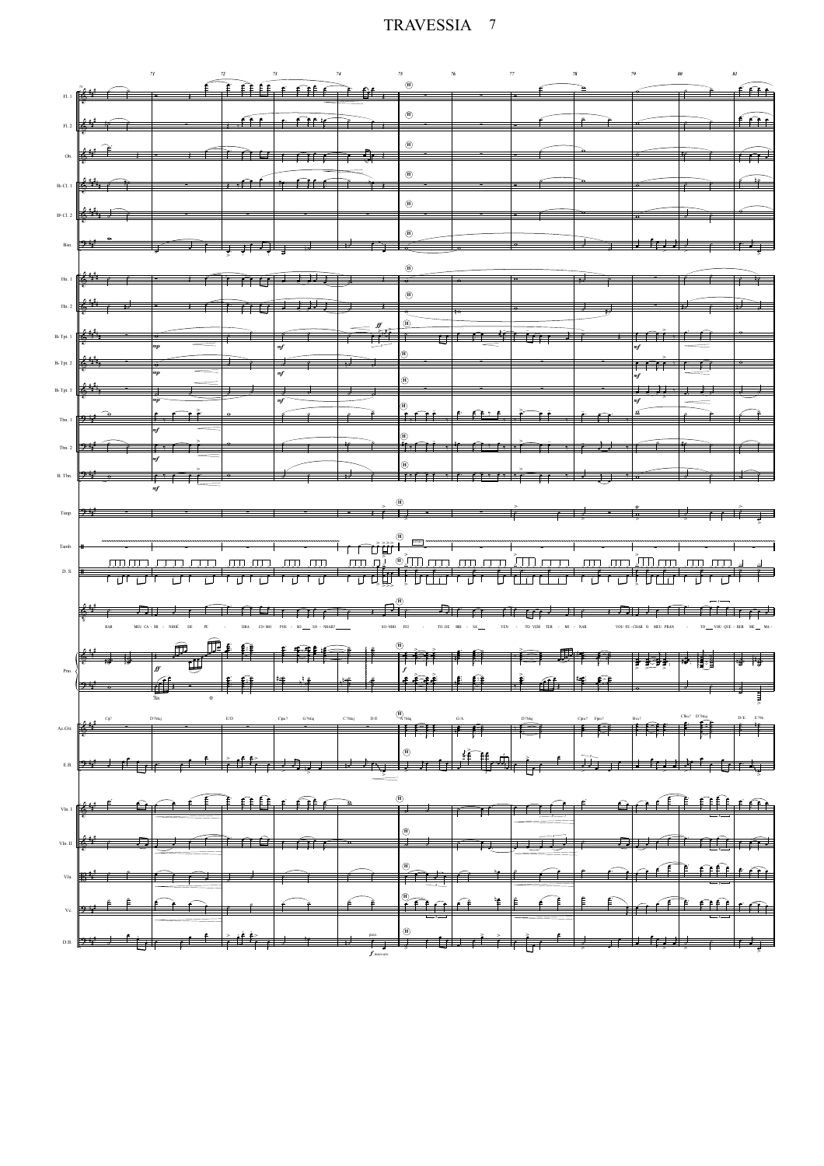